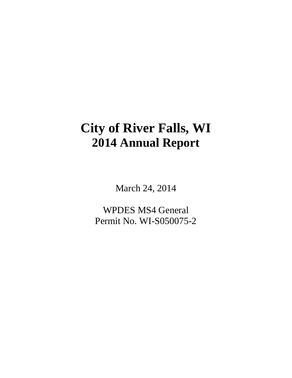# **City of River Falls, WI 2014 Annual Report**

March 24, 2014

WPDES MS4 General Permit No. WI-S050075-2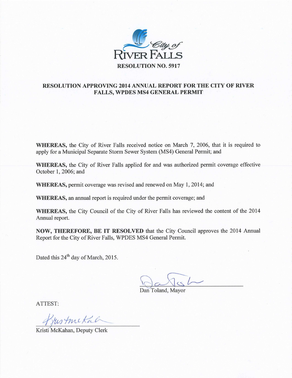

# RESOLUTION APPROVING 2014 ANNUAL REPORT FOR THE CITY OF RIVER FALLS, WPDES MS4 GENERAL PERMIT

WHEREAS, the City of River Falls received notice on March 7, 2006, that it is required to apply for a Municipal Separate Storm Sewer System ( MS4) General Permit; and

WHEREAS, the City of River Falls applied for and was authorized permit coverage effective October 1, 2006; and

WHEREAS, permit coverage was revised and renewed on May 1, 2014; and

WHEREAS, an annual report is required under the permit coverage; and

WHEREAS, the City Council of the City of River Falls has reviewed the content of the 2014 Annual report.

NOW, THEREFORE, BE IT RESOLVED that the City Council approves the 2014 Annual Report for the City of River Falls, WPDES MS4 General Permit.

Dated this 24<sup>th</sup> day of March, 2015.

Dan Toland, Mayor

ATTEST:

Justmital

Kristi McKahan, Deputy Clerk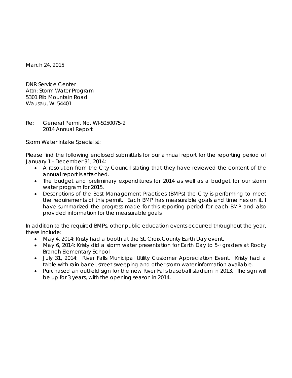March 24, 2015

DNR Service Center Attn: Storm Water Program 5301 Rib Mountain Road Wausau, WI 54401

Re: General Permit No. WI-S050075-2 2014 Annual Report

Storm Water Intake Specialist:

Please find the following enclosed submittals for our annual report for the reporting period of January 1 - December 31, 2014:

- A resolution from the City Council stating that they have reviewed the content of the annual report is attached.
- The budget and preliminary expenditures for 2014 as well as a budget for our storm water program for 2015.
- Descriptions of the Best Management Practices (BMPs) the City is performing to meet the requirements of this permit. Each BMP has measurable goals and timelines on it, I have summarized the progress made for this reporting period for each BMP and also provided information for the measurable goals.

In addition to the required BMPs, other public education events occurred throughout the year, these include:

- May 4, 2014: Kristy had a booth at the St. Croix County Earth Day event.
- May 6, 2014: Kristy did a storm water presentation for Earth Day to  $5<sup>th</sup>$  graders at Rocky Branch Elementary School
- July 31, 2014: River Falls Municipal Utility Customer Appreciation Event. Kristy had a table with rain barrel, street sweeping and other storm water information available.
- Purchased an outfield sign for the new River Falls baseball stadium in 2013. The sign will be up for 3 years, with the opening season in 2014.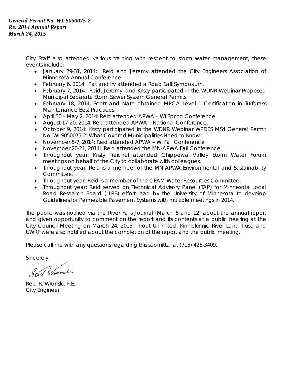City Staff also attended various training with respect to storm water management, these events include:

- January 29-31, 2014: Reid and Jeremy attended the City Engineers Association of Minnesota Annual Conference.
- February 6, 2014: Pat and Irv attended a Road Salt Symposium.
- February 7, 2014: Reid, Jeremy, and Kristy participated in the WDNR Webinar Proposed Municipal Separate Storm Sewer System General Permits
- February 18, 2014: Scott and Nate obtained MPCA Level 1 Certification in Turfgrass Maintenance Best Practices
- April 30 May 2, 2014: Reid attended APWA WI Spring Conference
- August 17-20, 2014: Reid attended APWA National Conference.
- October 9, 2014: Kristy participated in the WDNR Webinar WPDES MS4 General Permit No. WI-S050075-2: What Covered Municipalities Need to Know
- November 5-7, 2014: Reid attended APWA WI Fall Conference
- November 20-21, 2014: Reid attended the MN-APWA Fall Conference
- Throughout year: Kristy Treichel attended Chippewa Valley Storm Water Forum meetings on behalf of the City to collaborate with colleagues.
- Throughout year: Reid is a member of the MN-APWA Environmental and Sustainability Committee.
- Throughout year: Reid is a member of the CEAM Water Resources Committee.
- Throughout year: Reid served on Technical Advisory Panel (TAP) for Minnesota Local Road Research Board (LLRB) effort lead by the University of Minnesota to develop Guidelines for Permeable Pavement Systems with multiple meetings in 2014.

The public was notified via the River Falls Journal (March 5 and 12) about the annual report and given opportunity to comment on the report and its contents at a public hearing at the City Council Meeting on March 24, 2015. Trout Unlimited, Kinnickinnic River Land Trust, and UWRF were also notified about the completion of the report and the public meeting.

Please call me with any questions regarding this submittal at (715) 426-3409.

Sincerely,

Rend Whorst

Reid R. Wronski, P.E. City Engineer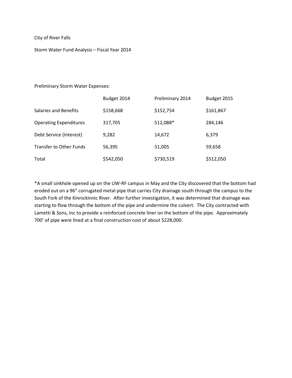#### City of River Falls

Storm Water Fund Analysis – Fiscal Year 2014

#### Preliminary Storm Water Expenses:

|                               | Budget 2014 | Preliminary 2014 | Budget 2015 |
|-------------------------------|-------------|------------------|-------------|
| Salaries and Benefits         | \$158,668   | \$152,754        | \$161,867   |
| <b>Operating Expenditures</b> | 317,705     | 512,088*         | 284,146     |
| Debt Service (Interest)       | 9,282       | 14,672           | 6,379       |
| Transfer to Other Funds       | 56,395      | 51,005           | 59,658      |
| Total                         | \$542,050   | \$730,519        | \$512,050   |

\*A small sinkhole opened up on the UW-RF campus in May and the City discovered that the bottom had eroded out on a 96" corrugated metal pipe that carries City drainage south through the campus to the South Fork of the Kinnickinnic River. After further investigation, it was determined that drainage was starting to flow through the bottom of the pipe and undermine the culvert. The City contracted with Lametti & Sons, Inc to provide a reinforced concrete liner on the bottom of the pipe. Approximately 700' of pipe were lined at a final construction cost of about \$228,000.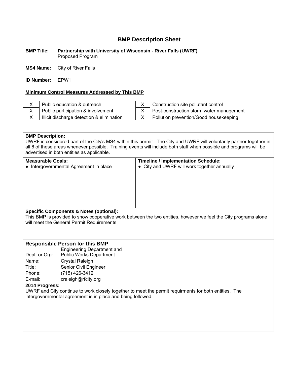#### **BMP Title: Partnership with University of Wisconsin - River Falls (UWRF)** Proposed Program

**MS4 Name:** City of River Falls

**ID Number:** EPW1

#### **Minimum Control Measures Addressed by This BMP**



X Public education & outreach  $X \mid$  Construction site pollutant control X Public participation & involvement X | Post-construction storm water management

 $X \parallel$  Illicit discharge detection & elimination  $X \parallel$  Pollution prevention/Good housekeeping

**BMP Description:**  UWRF is considered part of the City's MS4 within this permit. The City and UWRF will voluntarily partner together in all 6 of these areas whenever possible. Training events will include both staff when possible and programs will be advertised in both entities as applicable.

| <b>Measurable Goals:</b>                           | <b>Timeline / Implementation Schedule:</b>  |
|----------------------------------------------------|---------------------------------------------|
| • Intergovernmental Agreement in place             | • City and UWRF will work together annually |
| <b>Specific Components &amp; Notes (optional):</b> |                                             |

This BMP is provided to show cooperative work between the two entities, however we feel the City programs alone will meet the General Permit Requirements.

#### **Responsible Person for this BMP**

|               | <b>Engineering Department and</b> |
|---------------|-----------------------------------|
| Dept. or Org: | <b>Public Works Department</b>    |
| Name:         | <b>Crystal Raleigh</b>            |
| Title:        | Senior Civil Engineer             |
| Phone:        | (715) 426-3412                    |
| E-mail:       | craleigh@rfcity.org               |

#### **2014 Progress:**

UWRF and City continue to work closely together to meet the permit requirments for both entities. The intergovernmental agreement is in place and being followed.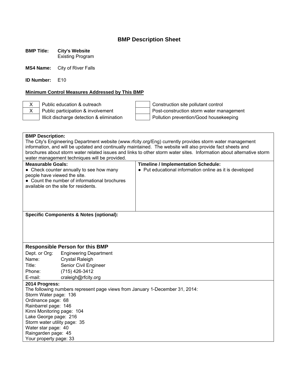**BMP Title: City's Website**

Existing Program

**MS4 Name:** City of River Falls

**ID Number:** E10

#### **Minimum Control Measures Addressed by This BMP**

X Public education & outreach Construction site pollutant control<br>
X Public participation & involvement Post-construction storm water mail X Public participation & involvement<br>Illicit discharge detection & elimination<br>Pollution prevention/Good housekeeping Pollution prevention/Good housekeeping

|                                                                                                          | <b>BMP Description:</b>                            |                                                                                                                      |  |
|----------------------------------------------------------------------------------------------------------|----------------------------------------------------|----------------------------------------------------------------------------------------------------------------------|--|
| The City's Engineering Department website (www.rfcity.org/Eng) currently provides storm water management |                                                    |                                                                                                                      |  |
|                                                                                                          |                                                    | information, and will be updated and continually maintained. The website will also provide fact sheets and           |  |
|                                                                                                          |                                                    | brochures about storm water related issues and links to other storm water sites. Information about alternative storm |  |
|                                                                                                          | water management techniques will be provided.      |                                                                                                                      |  |
| <b>Measurable Goals:</b>                                                                                 |                                                    | <b>Timeline / Implementation Schedule:</b>                                                                           |  |
|                                                                                                          | • Check counter annually to see how many           | • Put educational information online as it is developed                                                              |  |
| people have viewed the site.                                                                             |                                                    |                                                                                                                      |  |
|                                                                                                          | • Count the number of informational brochures      |                                                                                                                      |  |
|                                                                                                          | available on the site for residents.               |                                                                                                                      |  |
|                                                                                                          |                                                    |                                                                                                                      |  |
|                                                                                                          |                                                    |                                                                                                                      |  |
|                                                                                                          |                                                    |                                                                                                                      |  |
|                                                                                                          | <b>Specific Components &amp; Notes (optional):</b> |                                                                                                                      |  |
|                                                                                                          |                                                    |                                                                                                                      |  |
|                                                                                                          |                                                    |                                                                                                                      |  |
|                                                                                                          |                                                    |                                                                                                                      |  |
|                                                                                                          |                                                    |                                                                                                                      |  |
|                                                                                                          |                                                    |                                                                                                                      |  |
|                                                                                                          | <b>Responsible Person for this BMP</b>             |                                                                                                                      |  |
| Dept. or Org:                                                                                            | <b>Engineering Department</b>                      |                                                                                                                      |  |
| Name:                                                                                                    | Crystal Raleigh                                    |                                                                                                                      |  |
| Title:                                                                                                   | Senior Civil Engineer                              |                                                                                                                      |  |
| Phone:                                                                                                   | (715) 426-3412                                     |                                                                                                                      |  |
| E-mail:                                                                                                  | craleigh@rfcity.org                                |                                                                                                                      |  |
| 2014 Progress:                                                                                           |                                                    |                                                                                                                      |  |
| The following numbers represent page views from January 1-December 31, 2014:                             |                                                    |                                                                                                                      |  |
| Storm Water page: 136                                                                                    |                                                    |                                                                                                                      |  |
| Ordinance page: 68                                                                                       |                                                    |                                                                                                                      |  |
| Rainbarrel page: 146                                                                                     |                                                    |                                                                                                                      |  |
| Kinni Monitoring page: 104                                                                               |                                                    |                                                                                                                      |  |
| Lake George page: 216                                                                                    |                                                    |                                                                                                                      |  |
| Storm water utility page: 35                                                                             |                                                    |                                                                                                                      |  |
| Water star page: 40                                                                                      |                                                    |                                                                                                                      |  |
| Raingarden page: 45                                                                                      |                                                    |                                                                                                                      |  |
| Your property page: 33                                                                                   |                                                    |                                                                                                                      |  |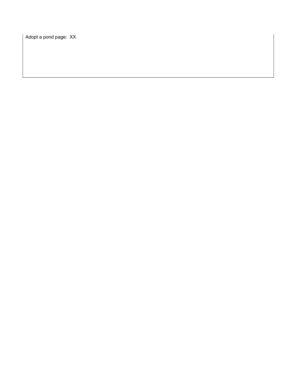Adopt a pond page: XX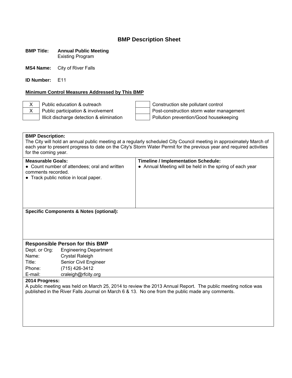#### **BMP Title: Annual Public Meeting** Existing Program

**MS4 Name:** City of River Falls

**ID Number:** E11

#### **Minimum Control Measures Addressed by This BMP**

X Public education & outreach Construction site pollutant control X Public participation & involvement Post-construction storm water management Illicit discharge detection & elimination  $\parallel$  Pollution prevention/Good housekeeping

# **BMP Description:**  The City will hold an annual public meeting at a regularly scheduled City Council meeting in approximately March of each year to present progress to date on the City's Storm Water Permit for the previous year and required activities for the coming year. **Measurable Goals: Timeline / Implementation Schedule:**  • Count number of attendees; oral and written comments recorded. ● Track public notice in local paper. • Annual Meeting will be held in the spring of each year **Specific Components & Notes (optional): Responsible Person for this BMP**  Dept. or Org: Engineering Department Name: Crystal Raleigh Title: Senior Civil Engineer Phone: (715) 426-3412 E-mail: craleigh@rfcity.org **2014 Progress:** A public meeting was held on March 25, 2014 to review the 2013 Annual Report. The public meeting notice was published in the River Falls Journal on March 6 & 13. No one from the public made any comments.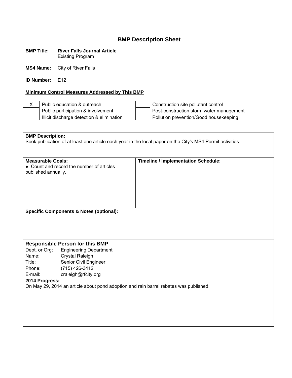| <b>BMP Title:</b> | <b>River Falls Journal Article</b> |
|-------------------|------------------------------------|
|                   | <b>Existing Program</b>            |

**MS4 Name:** City of River Falls

**ID Number:** E12

#### **Minimum Control Measures Addressed by This BMP**

X Public education & outreach Construction site pollutant control Public participation & involvement<br>
Illicit discharge detection & elimination<br>
Post-construction storm water management<br>
Pollution prevention/Good housekeeping Pollution prevention/Good housekeeping

| <b>BMP Description:</b>                                                                                    |                                                    |                                                                                       |
|------------------------------------------------------------------------------------------------------------|----------------------------------------------------|---------------------------------------------------------------------------------------|
| Seek publication of at least one article each year in the local paper on the City's MS4 Permit activities. |                                                    |                                                                                       |
|                                                                                                            |                                                    |                                                                                       |
|                                                                                                            |                                                    |                                                                                       |
| <b>Measurable Goals:</b>                                                                                   | • Count and record the number of articles          | <b>Timeline / Implementation Schedule:</b>                                            |
| published annually.                                                                                        |                                                    |                                                                                       |
|                                                                                                            |                                                    |                                                                                       |
|                                                                                                            |                                                    |                                                                                       |
|                                                                                                            |                                                    |                                                                                       |
|                                                                                                            |                                                    |                                                                                       |
|                                                                                                            |                                                    |                                                                                       |
|                                                                                                            | <b>Specific Components &amp; Notes (optional):</b> |                                                                                       |
|                                                                                                            |                                                    |                                                                                       |
|                                                                                                            |                                                    |                                                                                       |
|                                                                                                            |                                                    |                                                                                       |
|                                                                                                            |                                                    |                                                                                       |
|                                                                                                            | <b>Responsible Person for this BMP</b>             |                                                                                       |
| Dept. or Org:                                                                                              | <b>Engineering Department</b>                      |                                                                                       |
| Name:                                                                                                      | <b>Crystal Raleigh</b>                             |                                                                                       |
| Title:                                                                                                     | Senior Civil Engineer                              |                                                                                       |
| Phone:                                                                                                     | (715) 426-3412                                     |                                                                                       |
| E-mail:                                                                                                    | craleigh@rfcity.org                                |                                                                                       |
| 2014 Progress:                                                                                             |                                                    | On May 29, 2014 an article about pond adoption and rain barrel rebates was published. |
|                                                                                                            |                                                    |                                                                                       |
|                                                                                                            |                                                    |                                                                                       |
|                                                                                                            |                                                    |                                                                                       |
|                                                                                                            |                                                    |                                                                                       |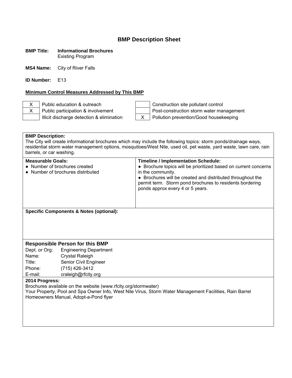#### **BMP Title: Informational Brochures** Existing Program

**MS4 Name:** City of River Falls

**ID Number:** E13

#### **Minimum Control Measures Addressed by This BMP**

X Public education & outreach  $\vert$  | Construction site pollutant control X Public participation & involvement Post-construction storm water management Illicit discharge detection & elimination  $\begin{vmatrix} X & \end{vmatrix}$  Pollution prevention/Good housekeeping

#### **BMP Description:**

The City will create informational brochures which may include the following topics: storm ponds/drainage ways, residential storm water management options, mosquitoes/West Nile, used oil, pet waste, yard waste, lawn care, rain barrels, or car washing.

| <b>Measurable Goals:</b><br>• Number of brochures created<br>• Number of brochures distributed | <b>Timeline / Implementation Schedule:</b><br>• Brochure topics will be prioritized based on current concerns<br>in the community.<br>• Brochures will be created and distributed throughout the<br>permit term. Storm pond brochures to residents bordering<br>ponds approx every 4 or 5 years. |
|------------------------------------------------------------------------------------------------|--------------------------------------------------------------------------------------------------------------------------------------------------------------------------------------------------------------------------------------------------------------------------------------------------|
| <b>Specific Components &amp; Notes (optional):</b>                                             |                                                                                                                                                                                                                                                                                                  |
| <b>Responsible Person for this BMP</b>                                                         |                                                                                                                                                                                                                                                                                                  |

Dept. or Org: Engineering Department Name: Crystal Raleigh Title: Senior Civil Engineer Phone: (715) 426-3412 E-mail: craleigh@rfcity.org

#### **2014 Progress:**

Brochures available on the website (www.rfcity.org/stormwater)

Your Property, Pool and Spa Owner Info, West Nile Virus, Storm Water Management Facilities, Rain Barrel Homeowners Manual, Adopt-a-Pond flyer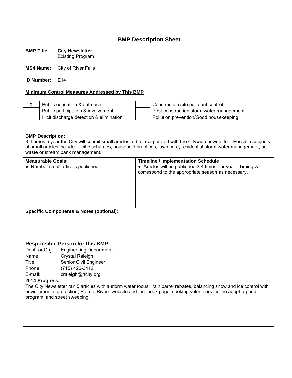# **BMP Title: City Newsletter**

Existing Program

**MS4 Name:** City of River Falls

**ID Number:** E14

#### **Minimum Control Measures Addressed by This BMP**

X Public education & outreach  $\vert$  | Construction site pollutant control Public participation & involvement Post-construction storm water management Illicit discharge detection & elimination  $\parallel$  Pollution prevention/Good housekeeping

**BMP Description:**  3-4 times a year the City will submit small articles to be incorporated with the Citywide newsletter. Possible subjects of small articles include: illicit discharges, household practices, lawn care, residential storm water management, pet waste or stream bank management.

| <b>Measurable Goals:</b> | • Number small articles published                  | <b>Timeline / Implementation Schedule:</b><br>• Articles will be published 3-4 times per year. Timing will<br>correspond to the appropriate season as necessary. |
|--------------------------|----------------------------------------------------|------------------------------------------------------------------------------------------------------------------------------------------------------------------|
|                          | <b>Specific Components &amp; Notes (optional):</b> |                                                                                                                                                                  |
|                          |                                                    |                                                                                                                                                                  |
|                          |                                                    |                                                                                                                                                                  |
|                          |                                                    |                                                                                                                                                                  |
|                          | <b>Responsible Person for this BMP</b>             |                                                                                                                                                                  |
| Dept. or Org:            | <b>Engineering Department</b>                      |                                                                                                                                                                  |
| Name:                    | <b>Crystal Raleigh</b>                             |                                                                                                                                                                  |
| Title:                   | Senior Civil Engineer                              |                                                                                                                                                                  |
| Phone:                   | (715) 426-3412                                     |                                                                                                                                                                  |
| E-mail:                  | craleigh@rfcity.org                                |                                                                                                                                                                  |

#### **2014 Progress:**

The City Newsletter ran 5 articles with a storm water focus: rain barrel rebates, balancing snow and ice control with environmental protection, Rain to Rivers website and facebook page, seeking volunteers for the adopt-a-pond program, and street sweeping.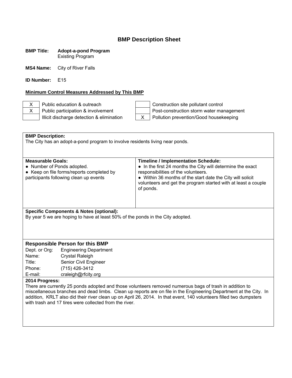#### **BMP Title: Adopt-a-pond Program** Existing Program

**MS4 Name:** City of River Falls

**ID Number:** E15

## **Minimum Control Measures Addressed by This BMP**

X Public education & outreach  $\vert$  | Construction site pollutant control  $\overline{X}$  Public participation & involvement<br>Illicit discharge detection & elimination  $\overline{X}$  Pollution prevention/Good housekeeping  $\overline{X}$  Pollution prevention/Good housekeeping

| <b>BMP Description:</b>                                                                                 |                                                                                |                                                                                                                             |
|---------------------------------------------------------------------------------------------------------|--------------------------------------------------------------------------------|-----------------------------------------------------------------------------------------------------------------------------|
| The City has an adopt-a-pond program to involve residents living near ponds.                            |                                                                                |                                                                                                                             |
|                                                                                                         |                                                                                |                                                                                                                             |
|                                                                                                         |                                                                                |                                                                                                                             |
| <b>Measurable Goals:</b>                                                                                |                                                                                | <b>Timeline / Implementation Schedule:</b>                                                                                  |
|                                                                                                         | • Number of Ponds adopted.                                                     | • In the first 24 months the City will determine the exact                                                                  |
|                                                                                                         | • Keep on file forms/reports completed by                                      | responsibilities of the volunteers.                                                                                         |
|                                                                                                         | participants following clean up events                                         | • Within 36 months of the start date the City will solicit<br>volunteers and get the program started with at least a couple |
|                                                                                                         |                                                                                | of ponds.                                                                                                                   |
|                                                                                                         |                                                                                |                                                                                                                             |
|                                                                                                         |                                                                                |                                                                                                                             |
|                                                                                                         |                                                                                |                                                                                                                             |
|                                                                                                         | <b>Specific Components &amp; Notes (optional):</b>                             |                                                                                                                             |
|                                                                                                         | By year 5 we are hoping to have at least 50% of the ponds in the City adopted. |                                                                                                                             |
|                                                                                                         |                                                                                |                                                                                                                             |
|                                                                                                         |                                                                                |                                                                                                                             |
|                                                                                                         |                                                                                |                                                                                                                             |
| <b>Responsible Person for this BMP</b>                                                                  |                                                                                |                                                                                                                             |
| Dept. or Org:                                                                                           | <b>Engineering Department</b>                                                  |                                                                                                                             |
| Name:                                                                                                   | <b>Crystal Raleigh</b>                                                         |                                                                                                                             |
| Title:                                                                                                  | Senior Civil Engineer                                                          |                                                                                                                             |
| Phone:                                                                                                  | (715) 426-3412                                                                 |                                                                                                                             |
| E-mail:                                                                                                 | craleigh@rfcity.org                                                            |                                                                                                                             |
| 2014 Progress:                                                                                          |                                                                                |                                                                                                                             |
| There are currently 25 ponds adopted and those volunteers removed numerous bags of trash in addition to |                                                                                |                                                                                                                             |
|                                                                                                         |                                                                                | miscellaneous branches and dead limbs. Clean up reports are on file in the Engineering Department at the City. In           |
|                                                                                                         |                                                                                | addition, KRLT also did their river clean up on April 26, 2014. In that event, 140 volunteers filled two dumpsters          |
|                                                                                                         | with trash and 17 tires were collected from the river.                         |                                                                                                                             |
|                                                                                                         |                                                                                |                                                                                                                             |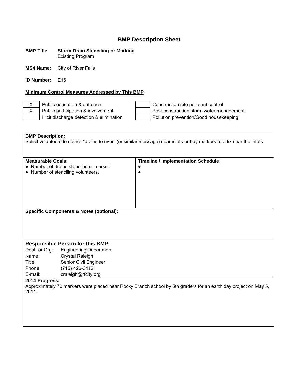#### **BMP Title: Storm Drain Stenciling or Marking** Existing Program

**MS4 Name:** City of River Falls

**ID Number:** E16

#### **Minimum Control Measures Addressed by This BMP**

X Public education & outreach Construction site pollutant control X Public participation & involvement Post-construction storm water management Illicit discharge detection & elimination  $\parallel$  Pollution prevention/Good housekeeping

**BMP Description:**  Solicit volunteers to stencil "drains to river" (or similar message) near inlets or buy markers to affix near the inlets. **Measurable Goals: Timeline / Implementation Schedule:**  ● Number of drains stenciled or marked ● Number of stenciling volunteers. ●  $\bullet$ **Specific Components & Notes (optional): Responsible Person for this BMP**  Dept. or Org: Engineering Department Name: Crystal Raleigh Title: Senior Civil Engineer Phone: (715) 426-3412 E-mail: craleigh@rfcity.org **2014 Progress:** Approximately 70 markers were placed near Rocky Branch school by 5th graders for an earth day project on May 5, 2014.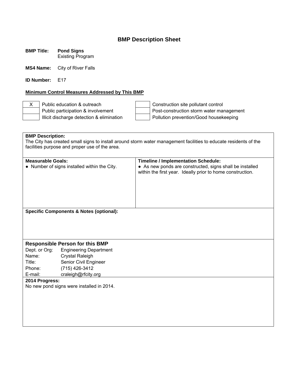**BMP Title: Pond Signs** Existing Program

**MS4 Name:** City of River Falls

**ID Number:** E17

#### **Minimum Control Measures Addressed by This BMP**

X Public education & outreach  $\vert$  | Construction site pollutant control Public participation & involvement  $\parallel$  Post-construction storm water management Illicit discharge detection & elimination **Pollution prevention/Good housekeeping** 

**BMP Description:**  The City has created small signs to install around storm water management facilities to educate residents of the facilities purpose and proper use of the area. **Measurable Goals: Timeline / Implementation Schedule:**  ● Number of signs installed within the City. ● As new ponds are constructed, signs shall be installed within the first year. Ideally prior to home construction. **Specific Components & Notes (optional): Responsible Person for this BMP**  Dept. or Org: Engineering Department Name: Crystal Raleigh Title: Senior Civil Engineer Phone: (715) 426-3412 E-mail: craleigh@rfcity.org **2014 Progress:** No new pond signs were installed in 2014.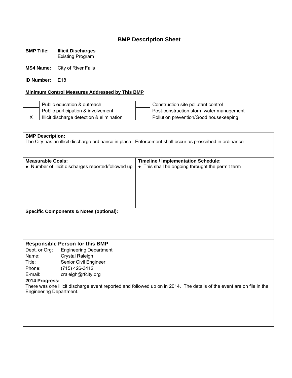# **BMP Title: Illicit Discharges**

Existing Program

**MS4 Name:** City of River Falls

**ID Number:** E18

#### **Minimum Control Measures Addressed by This BMP**

Public education & outreach Construction site pollutant control Public participation & involvement<br>
Illicit discharge detection & elimination<br>
Pollution prevention/Good housekeeping  $\overline{X}$  Illicit discharge detection & elimination  $\overline{X}$  Pollution prevention/Good housekeeping

| <b>BMP Description:</b>        |                                                    |                                                                                                                        |
|--------------------------------|----------------------------------------------------|------------------------------------------------------------------------------------------------------------------------|
|                                |                                                    | The City has an illicit discharge ordinance in place. Enforcement shall occur as prescribed in ordinance.              |
|                                |                                                    |                                                                                                                        |
|                                |                                                    |                                                                                                                        |
| <b>Measurable Goals:</b>       |                                                    | <b>Timeline / Implementation Schedule:</b>                                                                             |
| $\bullet$                      | Number of illicit discharges reported/followed up  | • This shall be ongoing throught the permit term                                                                       |
|                                |                                                    |                                                                                                                        |
|                                |                                                    |                                                                                                                        |
|                                |                                                    |                                                                                                                        |
|                                |                                                    |                                                                                                                        |
|                                |                                                    |                                                                                                                        |
|                                | <b>Specific Components &amp; Notes (optional):</b> |                                                                                                                        |
|                                |                                                    |                                                                                                                        |
|                                |                                                    |                                                                                                                        |
|                                |                                                    |                                                                                                                        |
|                                |                                                    |                                                                                                                        |
|                                | <b>Responsible Person for this BMP</b>             |                                                                                                                        |
| Dept. or Org:                  | <b>Engineering Department</b>                      |                                                                                                                        |
| Name:                          | <b>Crystal Raleigh</b>                             |                                                                                                                        |
| Title:                         | Senior Civil Engineer                              |                                                                                                                        |
| Phone:                         | (715) 426-3412                                     |                                                                                                                        |
| E-mail:                        | craleigh@rfcity.org                                |                                                                                                                        |
| 2014 Progress:                 |                                                    |                                                                                                                        |
|                                |                                                    | There was one illicit discharge event reported and followed up on in 2014. The details of the event are on file in the |
| <b>Engineering Department.</b> |                                                    |                                                                                                                        |
|                                |                                                    |                                                                                                                        |
|                                |                                                    |                                                                                                                        |
|                                |                                                    |                                                                                                                        |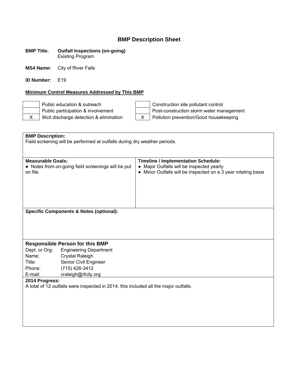#### **BMP Title: Outfall Inspections (on-going)** Existing Program

**MS4 Name:** City of River Falls

**ID Number:** E19

#### **Minimum Control Measures Addressed by This BMP**

| ation |  |
|-------|--|

Public education & outreach Construction site pollutant control Public participation & involvement<br>
Illicit discharge detection & elimination<br>  $\overline{X}$  Pollution prevention/Good housekeeping  $\overline{X}$  Illicit discharge detection & elimination  $\overline{X}$  Pollution prevention/Good housekeeping

| <b>BMP Description:</b><br>Field screening will be performed at outfalls during dry weather periods. |                                                                                      |                                                                                                                                                                     |
|------------------------------------------------------------------------------------------------------|--------------------------------------------------------------------------------------|---------------------------------------------------------------------------------------------------------------------------------------------------------------------|
|                                                                                                      |                                                                                      |                                                                                                                                                                     |
| <b>Measurable Goals:</b><br>$\bullet$<br>on file.                                                    | Notes from on-going field screenings will be put                                     | <b>Timeline / Implementation Schedule:</b><br>Major Outfalls will be inspected yearly<br>$\bullet$<br>• Minor Outfalls will be inspected on a 3 year rotating basis |
|                                                                                                      |                                                                                      |                                                                                                                                                                     |
|                                                                                                      | <b>Specific Components &amp; Notes (optional):</b>                                   |                                                                                                                                                                     |
|                                                                                                      |                                                                                      |                                                                                                                                                                     |
|                                                                                                      | <b>Responsible Person for this BMP</b>                                               |                                                                                                                                                                     |
| Dept. or Org:                                                                                        | <b>Engineering Department</b>                                                        |                                                                                                                                                                     |
| Name:                                                                                                | <b>Crystal Raleigh</b>                                                               |                                                                                                                                                                     |
| Title:                                                                                               | Senior Civil Engineer                                                                |                                                                                                                                                                     |
| Phone:                                                                                               | (715) 426-3412                                                                       |                                                                                                                                                                     |
| E-mail:<br>craleigh@rfcity.org                                                                       |                                                                                      |                                                                                                                                                                     |
| 2014 Progress:                                                                                       |                                                                                      |                                                                                                                                                                     |
|                                                                                                      | A total of 12 outfalls were inspected in 2014, this included all the major outfalls. |                                                                                                                                                                     |
|                                                                                                      |                                                                                      |                                                                                                                                                                     |
|                                                                                                      |                                                                                      |                                                                                                                                                                     |
|                                                                                                      |                                                                                      |                                                                                                                                                                     |
|                                                                                                      |                                                                                      |                                                                                                                                                                     |
|                                                                                                      |                                                                                      |                                                                                                                                                                     |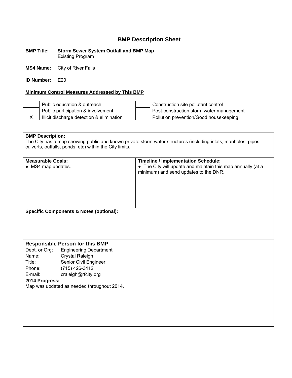**BMP Title: Storm Sewer System Outfall and BMP Map** Existing Program

**MS4 Name:** City of River Falls

**ID Number:** E20

#### **Minimum Control Measures Addressed by This BMP**

Public education & outreach Construction site pollutant control Public participation & involvement  $\parallel$  | Post-construction storm water management X | Illicit discharge detection & elimination | | | Pollution prevention/Good housekeeping

**BMP Description:**  The City has a map showing public and known private storm water structures (including inlets, manholes, pipes, culverts, outfalls, ponds, etc) within the City limits.

| <b>Measurable Goals:</b><br>• MS4 map updates. |                                                    | <b>Timeline / Implementation Schedule:</b><br>• The City will update and maintain this map annually (at a<br>minimum) and send updates to the DNR. |
|------------------------------------------------|----------------------------------------------------|----------------------------------------------------------------------------------------------------------------------------------------------------|
|                                                | <b>Specific Components &amp; Notes (optional):</b> |                                                                                                                                                    |
|                                                |                                                    |                                                                                                                                                    |
|                                                |                                                    |                                                                                                                                                    |
|                                                |                                                    |                                                                                                                                                    |
|                                                | <b>Responsible Person for this BMP</b>             |                                                                                                                                                    |
| Dept. or Org:                                  | <b>Engineering Department</b>                      |                                                                                                                                                    |
| Name:                                          | Crystal Raleigh                                    |                                                                                                                                                    |
| Title:                                         | Senior Civil Engineer                              |                                                                                                                                                    |
| Phone:                                         | (715) 426-3412                                     |                                                                                                                                                    |
| E-mail:                                        | craleigh@rfcity.org                                |                                                                                                                                                    |
| 2014 Progress:                                 |                                                    |                                                                                                                                                    |
|                                                | Map was updated as needed throughout 2014.         |                                                                                                                                                    |
|                                                |                                                    |                                                                                                                                                    |
|                                                |                                                    |                                                                                                                                                    |
|                                                |                                                    |                                                                                                                                                    |
|                                                |                                                    |                                                                                                                                                    |
|                                                |                                                    |                                                                                                                                                    |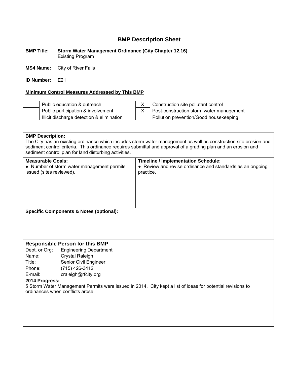#### **BMP Title: Storm Water Management Ordinance (City Chapter 12.16)** Existing Program

**MS4 Name:** City of River Falls

**ID Number:** E21

#### **Minimum Control Measures Addressed by This BMP**



Public education & outreach X Construction site pollutant control Public participation & involvement  $\begin{vmatrix} X \\ Y \end{vmatrix}$  Post-construction storm water management Illicit discharge detection & elimination **Pollution prevention/Good housekeeping** 

# **BMP Description:**  The City has an existing ordinance which includes storm water management as well as construction site erosion and sediment control criteria. This ordinance requires submittal and approval of a grading plan and an erosion and sediment control plan for land disturbing activities. **Measurable Goals: Timeline / Implementation Schedule:**  • Number of storm water management permits issued (sites reviewed). • Review and revise ordinance and standards as an ongoing practice. **Specific Components & Notes (optional): Responsible Person for this BMP**  Dept. or Org: Engineering Department Name: Crystal Raleigh Title: Senior Civil Engineer Phone: (715) 426-3412 E-mail: craleigh@rfcity.org **2014 Progress:** 5 Storm Water Management Permits were issued in 2014. City kept a list of ideas for potential revisions to ordinances when conflicts arose.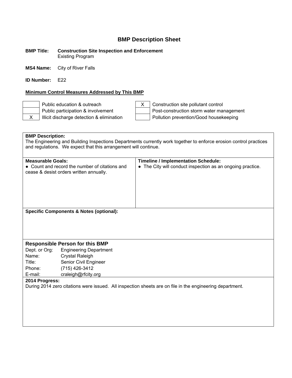**BMP Title: Construction Site Inspection and Enforcement** Existing Program

**MS4 Name:** City of River Falls

**ID Number:** E22

**Minimum Control Measures Addressed by This BMP** 

Public education & outreach  $\begin{array}{c|c}\n & X & \text{Construction site pollutant control}\n\end{array}$ Public participation & involvement  $\parallel$  Post-construction storm water management X | Illicit discharge detection & elimination | Pollution prevention/Good housekeeping

**BMP Description:**  The Engineering and Building Inspections Departments currently work together to enforce erosion control practices and regulations. We expect that this arrangement will continue. **Measurable Goals: Timeline / Implementation Schedule:**  ● Count and record the number of citations and cease & desist orders written annually. • The City will conduct inspection as an ongoing practice. **Specific Components & Notes (optional): Responsible Person for this BMP**  Dept. or Org: Engineering Department Name: Crystal Raleigh Title: Senior Civil Engineer Phone: (715) 426-3412 E-mail: craleigh@rfcity.org **2014 Progress:** During 2014 zero citations were issued. All inspection sheets are on file in the engineering department.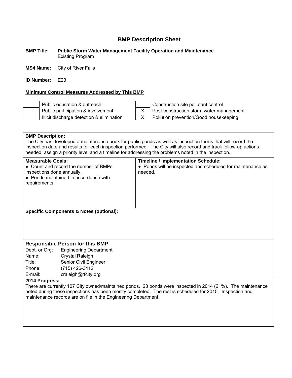#### **BMP Title: Public Storm Water Management Facility Operation and Maintenance** Existing Program

**MS4 Name:** City of River Falls

**ID Number:** E23

#### **Minimum Control Measures Addressed by This BMP**



Public education & outreach Construction site pollutant control Public participation & involvement  $\begin{vmatrix} X \\ Y \end{vmatrix}$  Post-construction storm water management Illicit discharge detection & elimination X Pollution prevention/Good housekeeping

# **BMP Description:**

The City has developed a maintenance book for public ponds as well as inspection forms that will record the inspection date and results for each inspection performed. The City will also record and track follow-up actions needed, assign a priority level and a timeline for addressing the problems noted in the inspection.

| Measurable Goals:<br>• Count and record the number of BMPs<br>inspections done annually.<br>• Ponds maintained in accordance with<br>requirements | <b>Timeline / Implementation Schedule:</b><br>• Ponds will be inspected and scheduled for maintenance as<br>needed. |
|---------------------------------------------------------------------------------------------------------------------------------------------------|---------------------------------------------------------------------------------------------------------------------|
| <b>Specific Components &amp; Notes (optional):</b>                                                                                                |                                                                                                                     |

#### **Responsible Person for this BMP**

| Dept. or Org: | <b>Engineering Department</b> |
|---------------|-------------------------------|
| Name:         | <b>Crystal Raleigh</b>        |
| Title:        | Senior Civil Engineer         |
| Phone:        | (715) 426-3412                |
| E-mail:       | craleigh@rfcity.org           |

#### **2014 Progress:**

There are currently 107 City owned/maintained ponds. 23 ponds were inspected in 2014 (21%). The maintenance noted during these inspections has been mostly completed. The rest is scheduled for 2015. Inspection and maintenance records are on file in the Engineering Department.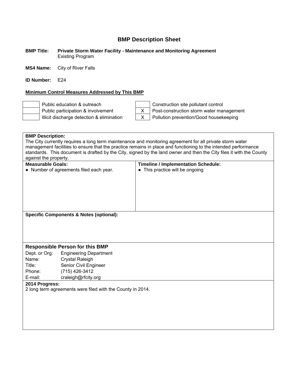#### **BMP Title: Private Storm Water Facility - Maintenance and Monitoring Agreement** Existing Program

**MS4 Name:** City of River Falls

**ID Number:** E24

#### **Minimum Control Measures Addressed by This BMP**



Public education & outreach  $\vert$  | Construction site pollutant control Public participation & involvement<br>
Illicit discharge detection & elimination<br>  $\begin{array}{|c|c|c|c|c|c|}\n\hline\nX & \text{Polution prevention/Good housekeeping}\n\hline\n\end{array}$  $X$  | Pollution prevention/Good housekeeping

| <b>BMP Description:</b>  |                                                            |                                                                                                                      |
|--------------------------|------------------------------------------------------------|----------------------------------------------------------------------------------------------------------------------|
|                          |                                                            | The City currently requires a long term maintenance and monitoring agreement for all private storm water             |
|                          |                                                            | management facilities to ensure that the practice remains in place and functioning to the intended performance       |
|                          |                                                            | standards. This document is drafted by the City, signed by the land owner and then the City files it with the County |
| against the property.    |                                                            |                                                                                                                      |
| <b>Measurable Goals:</b> |                                                            | <b>Timeline / Implementation Schedule:</b>                                                                           |
|                          | • Number of agreements filed each year.                    | • This practice will be ongoing                                                                                      |
|                          |                                                            |                                                                                                                      |
|                          |                                                            |                                                                                                                      |
|                          |                                                            |                                                                                                                      |
|                          |                                                            |                                                                                                                      |
|                          |                                                            |                                                                                                                      |
|                          |                                                            |                                                                                                                      |
|                          |                                                            |                                                                                                                      |
|                          | <b>Specific Components &amp; Notes (optional):</b>         |                                                                                                                      |
|                          |                                                            |                                                                                                                      |
|                          |                                                            |                                                                                                                      |
|                          |                                                            |                                                                                                                      |
|                          |                                                            |                                                                                                                      |
|                          | <b>Responsible Person for this BMP</b>                     |                                                                                                                      |
| Dept. or Org:            | <b>Engineering Department</b>                              |                                                                                                                      |
| Name:                    | <b>Crystal Raleigh</b>                                     |                                                                                                                      |
| Title:                   | Senior Civil Engineer                                      |                                                                                                                      |
| Phone:                   | (715) 426-3412                                             |                                                                                                                      |
| E-mail:                  | craleigh@rfcity.org                                        |                                                                                                                      |
| 2014 Progress:           |                                                            |                                                                                                                      |
|                          | 2 long term agreements were filed with the County in 2014. |                                                                                                                      |
|                          |                                                            |                                                                                                                      |
|                          |                                                            |                                                                                                                      |
|                          |                                                            |                                                                                                                      |
|                          |                                                            |                                                                                                                      |
|                          |                                                            |                                                                                                                      |
|                          |                                                            |                                                                                                                      |
|                          |                                                            |                                                                                                                      |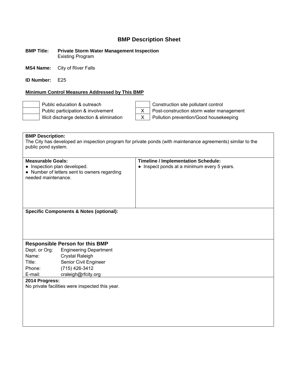**BMP Title: Private Storm Water Management Inspection** Existing Program

**MS4 Name:** City of River Falls

**ID Number:** E25

#### **Minimum Control Measures Addressed by This BMP**



Illicit discharge detection & elimination  $\begin{vmatrix} X & \end{vmatrix}$  Pollution prevention/Good housekeeping



Public education & outreach Construction site pollutant control Public participation & involvement  $\begin{vmatrix} X \\ Y \end{vmatrix}$  Post-construction storm water management

**BMP Description:**  The City has developed an inspection program for private ponds (with maintenance agreements) similar to the public pond system. **Measurable Goals: Timeline / Implementation Schedule:**  • Inspection plan developed. ● Number of letters sent to owners regarding needed maintenance. • Inspect ponds at a minimum every 5 years. **Specific Components & Notes (optional): Responsible Person for this BMP**  Dept. or Org: Engineering Department Name: Crystal Raleigh Title: Senior Civil Engineer Phone: (715) 426-3412 E-mail: craleigh@rfcity.org **2014 Progress:** No private facilities were inspected this year.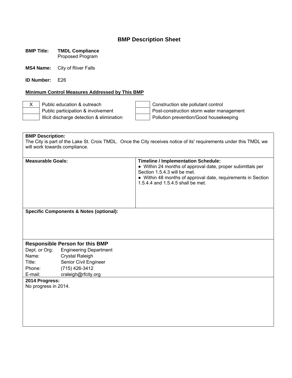#### **BMP Title: TMDL Compliance** Proposed Program

**MS4 Name:** City of River Falls

**ID Number:** E26

#### **Minimum Control Measures Addressed by This BMP**

X Public education & outreach  $\vert$  | Construction site pollutant control Public participation & involvement  $\parallel$  Post-construction storm water management Illicit discharge detection & elimination  $\parallel$  Pollution prevention/Good housekeeping

# **BMP Description:**  The City is part of the Lake St. Croix TMDL. Once the City receives notice of its' requirements under this TMDL we will work towards compliance. **Measurable Goals: Timeline / Implementation Schedule:**  ● Within 24 months of approval date, proper subimttals per Section 1.5.4.3 will be met. ● Within 48 months of approval date, requirements in Section 1.5.4.4 and 1.5.4.5 shall be met. **Specific Components & Notes (optional): Responsible Person for this BMP**  Dept. or Org: Engineering Department Name: Crystal Raleigh Title: Senior Civil Engineer Phone: (715) 426-3412 E-mail: craleigh@rfcity.org **2014 Progress:** No progress in 2014.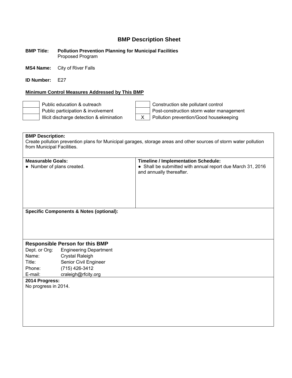#### **BMP Title: Pollution Prevention Planning for Municipal Facilities** Proposed Program

**MS4 Name:** City of River Falls

**ID Number:** E27

#### **Minimum Control Measures Addressed by This BMP**

Public education & outreach Construction site pollutant control Public participation & involvement  $\parallel$  | Post-construction storm water management Illicit discharge detection & elimination  $\begin{vmatrix} X & \end{vmatrix}$  Pollution prevention/Good housekeeping

**BMP Description:**  Create pollution prevention plans for Municipal garages, storage areas and other sources of storm water pollution from Municipal Facilities. **Measurable Goals: Timeline / Implementation Schedule:**  ● Number of plans created. <br>● Shall be submitted with annual report due March 31, 2016 and annually thereafter. **Specific Components & Notes (optional): Responsible Person for this BMP**  Dept. or Org: Engineering Department Name: Crystal Raleigh Title: Senior Civil Engineer Phone: (715) 426-3412 E-mail: craleigh@rfcity.org **2014 Progress:** No progress in 2014.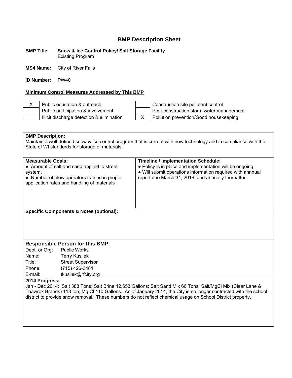**BMP Title: Snow & Ice Control Policy/ Salt Storage Facility** Existing Program

**MS4 Name:** City of River Falls

**ID Number:** PW40

**Minimum Control Measures Addressed by This BMP** 

X Public education & outreach Construction site pollutant control Public participation & involvement  $\parallel$  Post-construction storm water management Illicit discharge detection & elimination X Pollution prevention/Good housekeeping

**BMP Description:**  Maintain a well-defined snow & ice control program that is current with new technology and in compliance with the State of WI standards for storage of materials. **Measurable Goals: Timeline / Implementation Schedule:**  • Amount of salt and sand applied to street system. • Number of plow operators trained in proper application rates and handling of materials • Policy is in place and implementation will be ongoing. ● Will submit operations information required with annnual report due March 31, 2016, and annually thereafter. **Specific Components & Notes (optional): Responsible Person for this BMP**  Dept. or Org: Public Works Name: Terry Kusilek Title: Street Supervisor Phone: (715) 426-3481 E-mail: tkusilek@rfcity.org **2014 Progress:** Jan - Dec 2014: Salt 388 Tons; Salt Brine 12,653 Gallons; Salt Sand Mix 66 Tons; Salt/MgCl Mix (Clear Lane & Thawrox Brands) 118 ton; Mg Cl 410 Gallons. As of January 2014, the City is no longer contracted with the school district to provide snow removal. These numbers do not reflect chemical usage on School District property.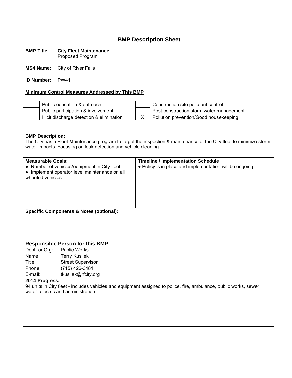**BMP Title: City Fleet Maintenance** Proposed Program

**MS4 Name:** City of River Falls

**ID Number:** PW41

#### **Minimum Control Measures Addressed by This BMP**

Public education & outreach Construction site pollutant control Public participation & involvement  $\parallel$  Post-construction storm water management Illicit discharge detection & elimination  $\begin{vmatrix} X & \end{vmatrix}$  Pollution prevention/Good housekeeping

**BMP Description:**  The City has a Fleet Maintenance program to target the inspection & maintenance of the City fleet to minimize storm water impacts. Focusing on leak detection and vehicle cleaning. **Measurable Goals: Timeline / Implementation Schedule:**  ● Number of vehicles/equipment in City fleet ● Implement operator level maintenance on all wheeled vehicles. • Policy is in place and implementation will be ongoing. **Specific Components & Notes (optional): Responsible Person for this BMP**  Dept. or Org: Public Works Name: Terry Kusilek Title: Street Supervisor Phone: (715) 426-3481 E-mail: tkusilek@rfcity.org **2014 Progress:** 94 units in City fleet - includes vehicles and equipment assigned to police, fire, ambulance, public works, sewer, water, electric and administration.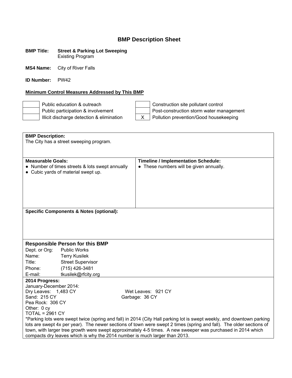#### **BMP Title: Street & Parking Lot Sweeping** Existing Program

**MS4 Name:** City of River Falls

**ID Number:** PW42

#### **Minimum Control Measures Addressed by This BMP**

| Public education & outreach               | Construction site pollutant control      |
|-------------------------------------------|------------------------------------------|
| Public participation & involvement        | Post-construction storm water management |
| Illicit discharge detection & elimination | Pollution prevention/Good housekeeping   |

| <b>BMP Description:</b><br>The City has a street sweeping program.                                                    |                                                                                        |                                                                                                             |  |
|-----------------------------------------------------------------------------------------------------------------------|----------------------------------------------------------------------------------------|-------------------------------------------------------------------------------------------------------------|--|
|                                                                                                                       |                                                                                        |                                                                                                             |  |
| <b>Measurable Goals:</b>                                                                                              | • Number of times streets & lots swept annually<br>• Cubic yards of material swept up. | <b>Timeline / Implementation Schedule:</b><br>• These numbers will be given annually.                       |  |
|                                                                                                                       | <b>Specific Components &amp; Notes (optional):</b>                                     |                                                                                                             |  |
|                                                                                                                       |                                                                                        |                                                                                                             |  |
|                                                                                                                       |                                                                                        |                                                                                                             |  |
|                                                                                                                       | <b>Responsible Person for this BMP</b>                                                 |                                                                                                             |  |
| Dept. or Org:                                                                                                         | <b>Public Works</b>                                                                    |                                                                                                             |  |
| Name:                                                                                                                 | <b>Terry Kusilek</b>                                                                   |                                                                                                             |  |
| Title:                                                                                                                | <b>Street Supervisor</b>                                                               |                                                                                                             |  |
| Phone:                                                                                                                | (715) 426-3481                                                                         |                                                                                                             |  |
| E-mail:                                                                                                               | tkusilek@rfcity.org                                                                    |                                                                                                             |  |
| 2014 Progress:                                                                                                        |                                                                                        |                                                                                                             |  |
| January-December 2014:                                                                                                |                                                                                        |                                                                                                             |  |
| Dry Leaves: 1,483 CY                                                                                                  |                                                                                        | Wet Leaves: 921 CY                                                                                          |  |
| Sand: 215 CY<br>Garbage: 36 CY                                                                                        |                                                                                        |                                                                                                             |  |
| Pea Rock: 306 CY                                                                                                      |                                                                                        |                                                                                                             |  |
| Other: 0 cy<br>$TOTAL = 2961 CY$                                                                                      |                                                                                        |                                                                                                             |  |
| *Parking lots were swept twice (spring and fall) in 2014 (City Hall parking lot is swept weekly, and downtown parking |                                                                                        |                                                                                                             |  |
| lots are swept 4x per year). The newer sections of town were swept 2 times (spring and fall). The older sections of   |                                                                                        |                                                                                                             |  |
|                                                                                                                       |                                                                                        | town, with larger tree growth were swept approximately 4-5 times. A new sweeper was purchased in 2014 which |  |
|                                                                                                                       | compacts dry leaves which is why the 2014 number is much larger than 2013.             |                                                                                                             |  |
|                                                                                                                       |                                                                                        |                                                                                                             |  |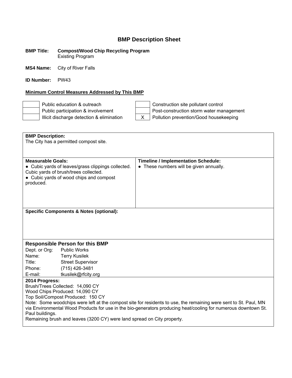**BMP Title: Compost/Wood Chip Recycling Program** Existing Program

**MS4 Name:** City of River Falls

**ID Number:** PW43

## **Minimum Control Measures Addressed by This BMP**

|  | and the control of the control of |
|--|-----------------------------------|
|  |                                   |
|  | <b>STATISTICS</b>                 |
|  |                                   |
|  |                                   |

Public education & outreach<br>
Public participation & involvement<br>
Post-construction storm water ma

Public participation & involvement<br>
Illicit discharge detection & elimination<br>
X<br>
Pollution prevention/Good housekeeping  $\overline{X}$  Pollution prevention/Good housekeeping

| <b>BMP Description:</b><br>The City has a permitted compost site. |                                                                                                                                        |                                                                                                                  |  |  |  |
|-------------------------------------------------------------------|----------------------------------------------------------------------------------------------------------------------------------------|------------------------------------------------------------------------------------------------------------------|--|--|--|
| <b>Measurable Goals:</b><br>produced.                             | • Cubic yards of leaves/grass clippings collected.<br>Cubic yards of brush/trees collected.<br>• Cubic yards of wood chips and compost | <b>Timeline / Implementation Schedule:</b><br>• These numbers will be given annually.                            |  |  |  |
|                                                                   | <b>Specific Components &amp; Notes (optional):</b>                                                                                     |                                                                                                                  |  |  |  |
|                                                                   |                                                                                                                                        |                                                                                                                  |  |  |  |
|                                                                   | <b>Responsible Person for this BMP</b>                                                                                                 |                                                                                                                  |  |  |  |
| Dept. or Org:                                                     | <b>Public Works</b>                                                                                                                    |                                                                                                                  |  |  |  |
| Name:                                                             | <b>Terry Kusilek</b>                                                                                                                   |                                                                                                                  |  |  |  |
| Title:                                                            | <b>Street Supervisor</b>                                                                                                               |                                                                                                                  |  |  |  |
| Phone:                                                            | (715) 426-3481                                                                                                                         |                                                                                                                  |  |  |  |
| E-mail:                                                           | tkusilek@rfcity.org                                                                                                                    |                                                                                                                  |  |  |  |
| 2014 Progress:                                                    | Brush/Trees Collected: 14,090 CY                                                                                                       |                                                                                                                  |  |  |  |
|                                                                   | Wood Chips Produced: 14,090 CY                                                                                                         |                                                                                                                  |  |  |  |
| Top Soil/Compost Produced: 150 CY                                 |                                                                                                                                        |                                                                                                                  |  |  |  |
|                                                                   |                                                                                                                                        | Note: Some woodchips were left at the compost site for residents to use, the remaining were sent to St. Paul, MN |  |  |  |
|                                                                   |                                                                                                                                        | via Environmental Wood Products for use in the bio-generators producing heat/cooling for numerous downtown St.   |  |  |  |
| Paul buildings.                                                   | Remaining brush and leaves (3200 CY) were land spread on City property.                                                                |                                                                                                                  |  |  |  |
|                                                                   |                                                                                                                                        |                                                                                                                  |  |  |  |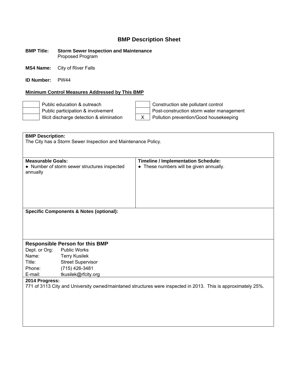#### **BMP Title: Storm Sewer Inspection and Maintenance** Proposed Program

**MS4 Name:** City of River Falls

**ID Number:** PW44

## **Minimum Control Measures Addressed by This BMP**

|                                   |  | and the control of the control of |  |
|-----------------------------------|--|-----------------------------------|--|
|                                   |  |                                   |  |
| the control of the control of the |  |                                   |  |
|                                   |  |                                   |  |
|                                   |  |                                   |  |

| ı     |  |
|-------|--|
| ation |  |

Public education & outreach<br>
Public participation & involvement<br>
Post-construction storm water ma Public participation & involvement<br>
Illicit discharge detection & elimination<br>  $\overline{X}$  Pollution prevention/Good housekeeping Pollution prevention/Good housekeeping

| <b>BMP Description:</b><br>The City has a Storm Sewer Inspection and Maintenance Policy.<br><b>Measurable Goals:</b><br><b>Timeline / Implementation Schedule:</b><br>• These numbers will be given annually.<br>• Number of storm sewer structures inspected<br>annually |
|---------------------------------------------------------------------------------------------------------------------------------------------------------------------------------------------------------------------------------------------------------------------------|
|                                                                                                                                                                                                                                                                           |
|                                                                                                                                                                                                                                                                           |
|                                                                                                                                                                                                                                                                           |
|                                                                                                                                                                                                                                                                           |
|                                                                                                                                                                                                                                                                           |
|                                                                                                                                                                                                                                                                           |
|                                                                                                                                                                                                                                                                           |
|                                                                                                                                                                                                                                                                           |
|                                                                                                                                                                                                                                                                           |
|                                                                                                                                                                                                                                                                           |
|                                                                                                                                                                                                                                                                           |
|                                                                                                                                                                                                                                                                           |
| <b>Specific Components &amp; Notes (optional):</b>                                                                                                                                                                                                                        |
|                                                                                                                                                                                                                                                                           |
|                                                                                                                                                                                                                                                                           |
|                                                                                                                                                                                                                                                                           |
|                                                                                                                                                                                                                                                                           |
| <b>Responsible Person for this BMP</b>                                                                                                                                                                                                                                    |
| Dept. or Org:<br><b>Public Works</b>                                                                                                                                                                                                                                      |
| Name:<br><b>Terry Kusilek</b>                                                                                                                                                                                                                                             |
| <b>Street Supervisor</b><br>Title:                                                                                                                                                                                                                                        |
| (715) 426-3481<br>Phone:                                                                                                                                                                                                                                                  |
| E-mail:<br>tkusilek@rfcity.org                                                                                                                                                                                                                                            |
|                                                                                                                                                                                                                                                                           |
|                                                                                                                                                                                                                                                                           |
| 2014 Progress:<br>771 of 3113 City and University owned/maintaned structures were inspected in 2013. This is approximately 25%.                                                                                                                                           |
|                                                                                                                                                                                                                                                                           |